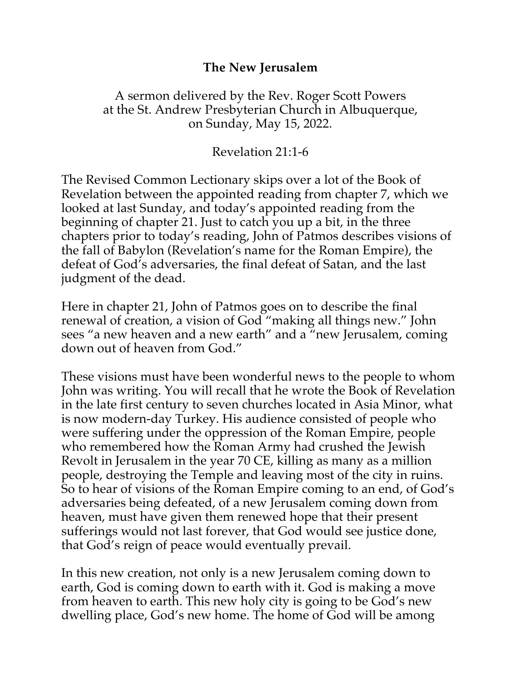## **The New Jerusalem**

## A sermon delivered by the Rev. Roger Scott Powers at the St. Andrew Presbyterian Church in Albuquerque, on Sunday, May 15, 2022.

## Revelation 21:1-6

The Revised Common Lectionary skips over a lot of the Book of Revelation between the appointed reading from chapter 7, which we looked at last Sunday, and today's appointed reading from the beginning of chapter 21. Just to catch you up a bit, in the three chapters prior to today's reading, John of Patmos describes visions of the fall of Babylon (Revelation's name for the Roman Empire), the defeat of God's adversaries, the final defeat of Satan, and the last judgment of the dead.

Here in chapter 21, John of Patmos goes on to describe the final renewal of creation, a vision of God "making all things new." John sees "a new heaven and a new earth" and a "new Jerusalem, coming down out of heaven from God."

These visions must have been wonderful news to the people to whom John was writing. You will recall that he wrote the Book of Revelation in the late first century to seven churches located in Asia Minor, what is now modern-day Turkey. His audience consisted of people who were suffering under the oppression of the Roman Empire, people who remembered how the Roman Army had crushed the Jewish Revolt in Jerusalem in the year 70 CE, killing as many as a million people, destroying the Temple and leaving most of the city in ruins. So to hear of visions of the Roman Empire coming to an end, of God's adversaries being defeated, of a new Jerusalem coming down from heaven, must have given them renewed hope that their present sufferings would not last forever, that God would see justice done, that God's reign of peace would eventually prevail.

In this new creation, not only is a new Jerusalem coming down to earth, God is coming down to earth with it. God is making a move from heaven to earth. This new holy city is going to be God's new dwelling place, God's new home. The home of God will be among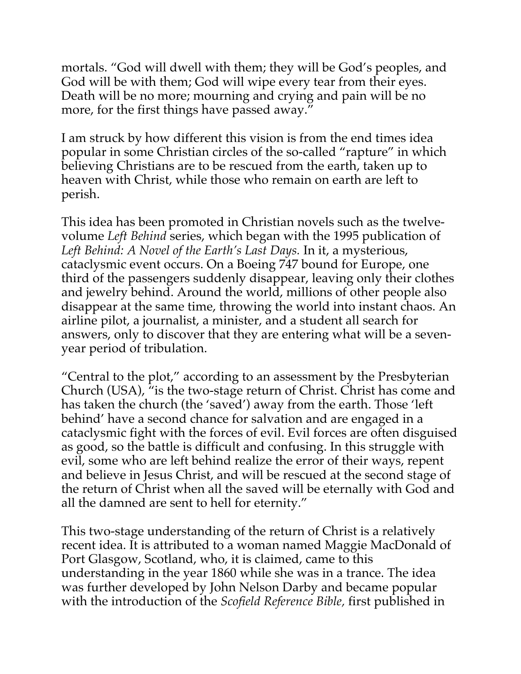mortals. "God will dwell with them; they will be God's peoples, and God will be with them; God will wipe every tear from their eyes. Death will be no more; mourning and crying and pain will be no more, for the first things have passed away."

I am struck by how different this vision is from the end times idea popular in some Christian circles of the so-called "rapture" in which believing Christians are to be rescued from the earth, taken up to heaven with Christ, while those who remain on earth are left to perish.

This idea has been promoted in Christian novels such as the twelvevolume *Left Behind* series, which began with the 1995 publication of *Left Behind: A Novel of the Earth's Last Days.* In it, a mysterious, cataclysmic event occurs. On a Boeing 747 bound for Europe, one third of the passengers suddenly disappear, leaving only their clothes and jewelry behind. Around the world, millions of other people also disappear at the same time, throwing the world into instant chaos. An airline pilot, a journalist, a minister, and a student all search for answers, only to discover that they are entering what will be a sevenyear period of tribulation.

"Central to the plot," according to an assessment by the Presbyterian Church (USA), "is the two-stage return of Christ. Christ has come and has taken the church (the 'saved') away from the earth. Those 'left behind' have a second chance for salvation and are engaged in a cataclysmic fight with the forces of evil. Evil forces are often disguised as good, so the battle is difficult and confusing. In this struggle with evil, some who are left behind realize the error of their ways, repent and believe in Jesus Christ, and will be rescued at the second stage of the return of Christ when all the saved will be eternally with God and all the damned are sent to hell for eternity."

This two-stage understanding of the return of Christ is a relatively recent idea. It is attributed to a woman named Maggie MacDonald of Port Glasgow, Scotland, who, it is claimed, came to this understanding in the year 1860 while she was in a trance. The idea was further developed by John Nelson Darby and became popular with the introduction of the *Scofield Reference Bible,* first published in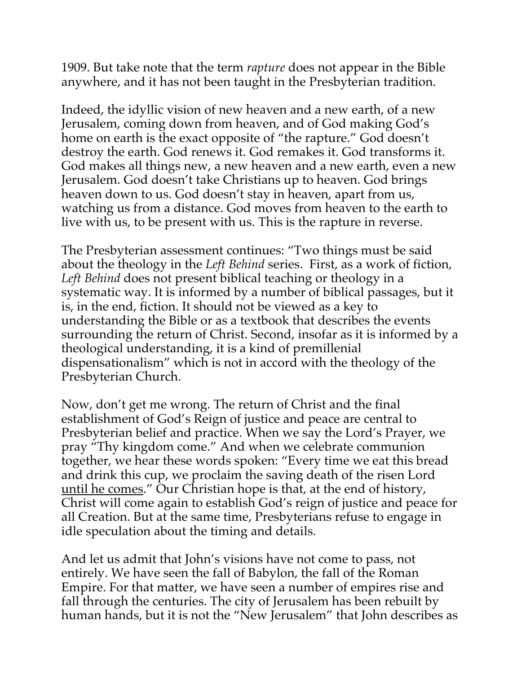1909. But take note that the term *rapture* does not appear in the Bible anywhere, and it has not been taught in the Presbyterian tradition.

Indeed, the idyllic vision of new heaven and a new earth, of a new Jerusalem, coming down from heaven, and of God making God's home on earth is the exact opposite of "the rapture." God doesn't destroy the earth. God renews it. God remakes it. God transforms it. God makes all things new, a new heaven and a new earth, even a new Jerusalem. God doesn't take Christians up to heaven. God brings heaven down to us. God doesn't stay in heaven, apart from us, watching us from a distance. God moves from heaven to the earth to live with us, to be present with us. This is the rapture in reverse.

The Presbyterian assessment continues: "Two things must be said about the theology in the *Left Behind* series. First, as a work of fiction, *Left Behind* does not present biblical teaching or theology in a systematic way. It is informed by a number of biblical passages, but it is, in the end, fiction. It should not be viewed as a key to understanding the Bible or as a textbook that describes the events surrounding the return of Christ. Second, insofar as it is informed by a theological understanding, it is a kind of premillenial dispensationalism" which is not in accord with the theology of the Presbyterian Church.

Now, don't get me wrong. The return of Christ and the final establishment of God's Reign of justice and peace are central to Presbyterian belief and practice. When we say the Lord's Prayer, we pray "Thy kingdom come." And when we celebrate communion together, we hear these words spoken: "Every time we eat this bread and drink this cup, we proclaim the saving death of the risen Lord until he comes." Our Christian hope is that, at the end of history, Christ will come again to establish God's reign of justice and peace for all Creation. But at the same time, Presbyterians refuse to engage in idle speculation about the timing and details.

And let us admit that John's visions have not come to pass, not entirely. We have seen the fall of Babylon, the fall of the Roman Empire. For that matter, we have seen a number of empires rise and fall through the centuries. The city of Jerusalem has been rebuilt by human hands, but it is not the "New Jerusalem" that John describes as